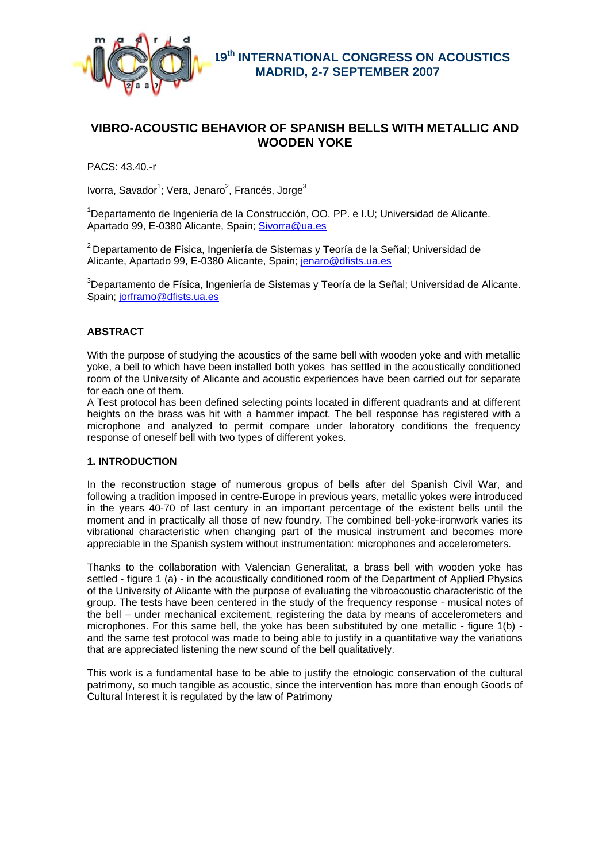

# **VIBRO-ACOUSTIC BEHAVIOR OF SPANISH BELLS WITH METALLIC AND WOODEN YOKE**

PACS: 43.40.-r

Ivorra, Savador<sup>1</sup>; Vera, Jenaro<sup>2</sup>, Francés, Jorge<sup>3</sup>

<sup>1</sup>Departamento de Ingeniería de la Construcción, OO. PP. e I.U; Universidad de Alicante. Apartado 99, E-0380 Alicante, Spain; Sivorra@ua.es

 $2$  Departamento de Física, Ingeniería de Sistemas y Teoría de la Señal; Universidad de Alicante, Apartado 99, E-0380 Alicante, Spain; jenaro@dfists.ua.es

 $3$ Departamento de Física, Ingeniería de Sistemas y Teoría de la Señal; Universidad de Alicante. Spain; jorframo@dfists.ua.es

## **ABSTRACT**

With the purpose of studying the acoustics of the same bell with wooden yoke and with metallic yoke, a bell to which have been installed both yokes has settled in the acoustically conditioned room of the University of Alicante and acoustic experiences have been carried out for separate for each one of them.

A Test protocol has been defined selecting points located in different quadrants and at different heights on the brass was hit with a hammer impact. The bell response has registered with a microphone and analyzed to permit compare under laboratory conditions the frequency response of oneself bell with two types of different yokes.

## **1. INTRODUCTION**

In the reconstruction stage of numerous gropus of bells after del Spanish Civil War, and following a tradition imposed in centre-Europe in previous years, metallic yokes were introduced in the years 40-70 of last century in an important percentage of the existent bells until the moment and in practically all those of new foundry. The combined bell-yoke-ironwork varies its vibrational characteristic when changing part of the musical instrument and becomes more appreciable in the Spanish system without instrumentation: microphones and accelerometers.

Thanks to the collaboration with Valencian Generalitat, a brass bell with wooden yoke has settled - figure 1 (a) - in the acoustically conditioned room of the Department of Applied Physics of the University of Alicante with the purpose of evaluating the vibroacoustic characteristic of the group. The tests have been centered in the study of the frequency response - musical notes of the bell – under mechanical excitement, registering the data by means of accelerometers and microphones. For this same bell, the yoke has been substituted by one metallic - figure 1(b) and the same test protocol was made to being able to justify in a quantitative way the variations that are appreciated listening the new sound of the bell qualitatively.

This work is a fundamental base to be able to justify the etnologic conservation of the cultural patrimony, so much tangible as acoustic, since the intervention has more than enough Goods of Cultural Interest it is regulated by the law of Patrimony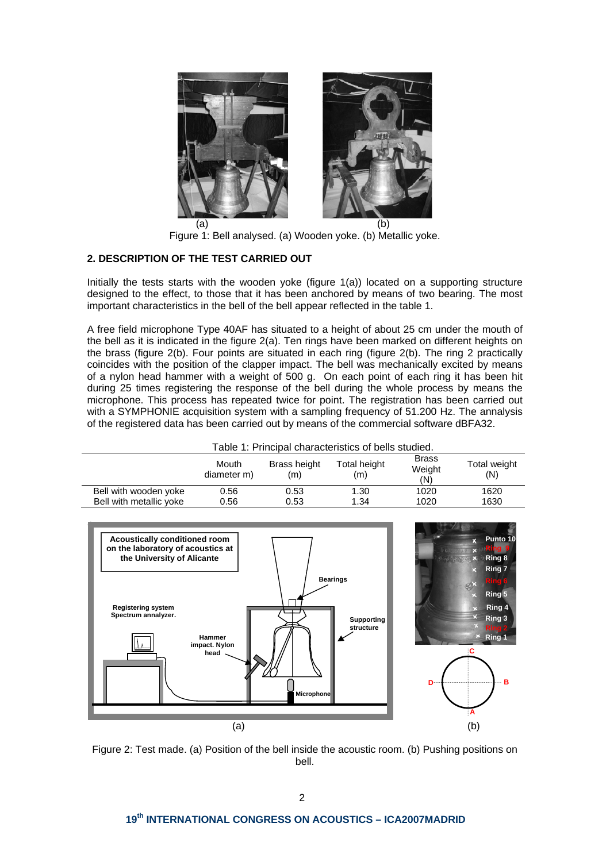

Figure 1: Bell analysed. (a) Wooden yoke. (b) Metallic yoke.

## **2. DESCRIPTION OF THE TEST CARRIED OUT**

Initially the tests starts with the wooden yoke (figure 1(a)) located on a supporting structure designed to the effect, to those that it has been anchored by means of two bearing. The most important characteristics in the bell of the bell appear reflected in the table 1.

A free field microphone Type 40AF has situated to a height of about 25 cm under the mouth of the bell as it is indicated in the figure 2(a). Ten rings have been marked on different heights on the brass (figure 2(b). Four points are situated in each ring (figure 2(b). The ring 2 practically coincides with the position of the clapper impact. The bell was mechanically excited by means of a nylon head hammer with a weight of 500 g. On each point of each ring it has been hit during 25 times registering the response of the bell during the whole process by means the microphone. This process has repeated twice for point. The registration has been carried out with a SYMPHONIE acquisition system with a sampling frequency of 51.200 Hz. The annalysis of the registered data has been carried out by means of the commercial software dBFA32.

| Table 1: Principal characteristics of bells studied. |                      |                     |                     |                               |                     |  |
|------------------------------------------------------|----------------------|---------------------|---------------------|-------------------------------|---------------------|--|
|                                                      | Mouth<br>diameter m) | Brass height<br>(m) | Total height<br>(m) | <b>Brass</b><br>Weight<br>(N) | Total weight<br>(N) |  |
| Bell with wooden yoke                                | 0.56                 | 0.53                | 1.30                | 1020                          | 1620                |  |
| Bell with metallic yoke                              | 0.56                 | 0.53                | 1.34                | 1020                          | 1630                |  |



Figure 2: Test made. (a) Position of the bell inside the acoustic room. (b) Pushing positions on bell.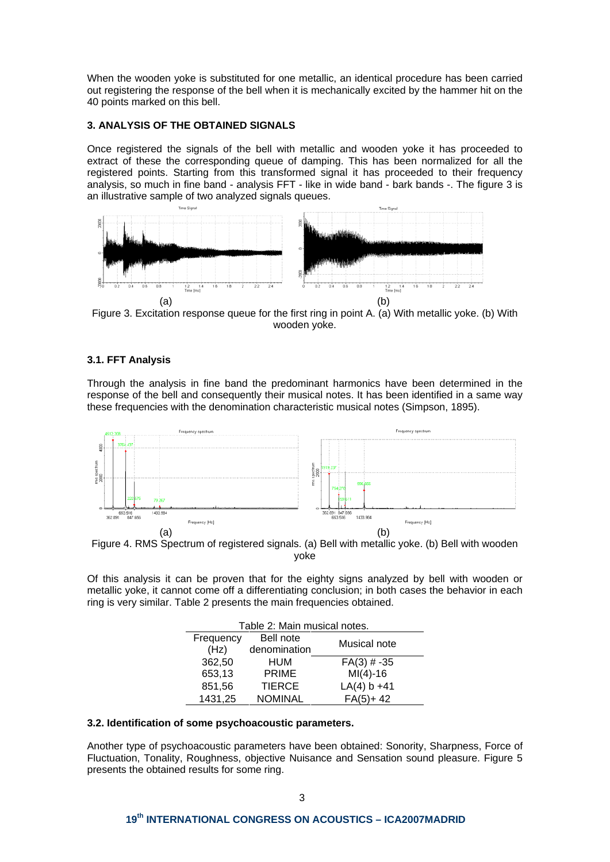When the wooden yoke is substituted for one metallic, an identical procedure has been carried out registering the response of the bell when it is mechanically excited by the hammer hit on the 40 points marked on this bell.

## **3. ANALYSIS OF THE OBTAINED SIGNALS**

Once registered the signals of the bell with metallic and wooden yoke it has proceeded to extract of these the corresponding queue of damping. This has been normalized for all the registered points. Starting from this transformed signal it has proceeded to their frequency analysis, so much in fine band - analysis FFT - like in wide band - bark bands -. The figure 3 is an illustrative sample of two analyzed signals queues.



Figure 3. Excitation response queue for the first ring in point A. (a) With metallic yoke. (b) With wooden yoke.

## **3.1. FFT Analysis**

Through the analysis in fine band the predominant harmonics have been determined in the response of the bell and consequently their musical notes. It has been identified in a same way these frequencies with the denomination characteristic musical notes (Simpson, 1895).



Figure 4. RMS Spectrum of registered signals. (a) Bell with metallic yoke. (b) Bell with wooden yoke

Of this analysis it can be proven that for the eighty signs analyzed by bell with wooden or metallic yoke, it cannot come off a differentiating conclusion; in both cases the behavior in each ring is very similar. Table 2 presents the main frequencies obtained.

| Table 2: Main musical notes. |                |                |  |  |  |
|------------------------------|----------------|----------------|--|--|--|
| Frequency                    | Bell note      | Musical note   |  |  |  |
| (Hz)                         | denomination   |                |  |  |  |
| 362,50                       | HUM            | $FA(3)$ # -35  |  |  |  |
| 653,13                       | <b>PRIME</b>   | $MI(4) - 16$   |  |  |  |
| 851,56                       | <b>TIERCE</b>  | $LA(4) b + 41$ |  |  |  |
| 1431,25                      | <b>NOMINAL</b> | $FA(5) + 42$   |  |  |  |
|                              |                |                |  |  |  |

### **3.2. Identification of some psychoacoustic parameters.**

Another type of psychoacoustic parameters have been obtained: Sonority, Sharpness, Force of Fluctuation, Tonality, Roughness, objective Nuisance and Sensation sound pleasure. Figure 5 presents the obtained results for some ring.

## **19th INTERNATIONAL CONGRESS ON ACOUSTICS – ICA2007MADRID**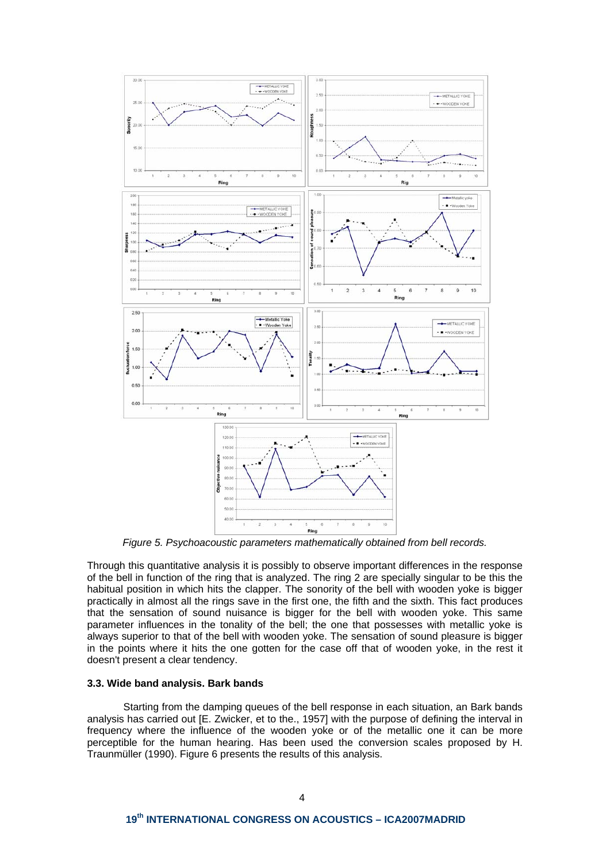

*Figure 5. Psychoacoustic parameters mathematically obtained from bell records.* 

Through this quantitative analysis it is possibly to observe important differences in the response of the bell in function of the ring that is analyzed. The ring 2 are specially singular to be this the habitual position in which hits the clapper. The sonority of the bell with wooden yoke is bigger practically in almost all the rings save in the first one, the fifth and the sixth. This fact produces that the sensation of sound nuisance is bigger for the bell with wooden yoke. This same parameter influences in the tonality of the bell; the one that possesses with metallic yoke is always superior to that of the bell with wooden yoke. The sensation of sound pleasure is bigger in the points where it hits the one gotten for the case off that of wooden yoke, in the rest it doesn't present a clear tendency.

#### **3.3. Wide band analysis. Bark bands**

 Starting from the damping queues of the bell response in each situation, an Bark bands analysis has carried out [E. Zwicker, et to the., 1957] with the purpose of defining the interval in frequency where the influence of the wooden yoke or of the metallic one it can be more perceptible for the human hearing. Has been used the conversion scales proposed by H. Traunmüller (1990). Figure 6 presents the results of this analysis.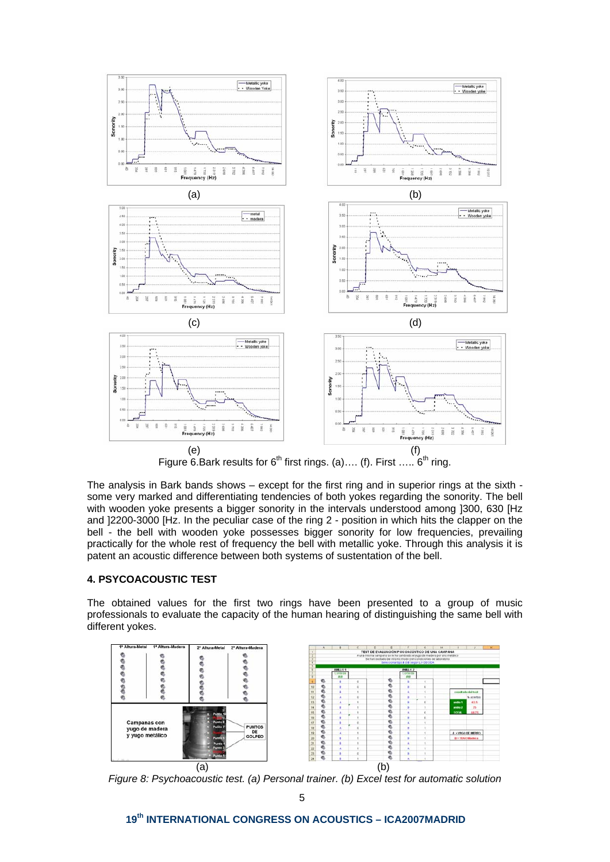

The analysis in Bark bands shows – except for the first ring and in superior rings at the sixth some very marked and differentiating tendencies of both yokes regarding the sonority. The bell with wooden yoke presents a bigger sonority in the intervals understood among ]300, 630 [Hz and ]2200-3000 [Hz. In the peculiar case of the ring 2 - position in which hits the clapper on the bell - the bell with wooden yoke possesses bigger sonority for low frequencies, prevailing practically for the whole rest of frequency the bell with metallic yoke. Through this analysis it is patent an acoustic difference between both systems of sustentation of the bell.

## **4. PSYCOACOUSTIC TEST**

The obtained values for the first two rings have been presented to a group of music professionals to evaluate the capacity of the human hearing of distinguishing the same bell with different yokes.



*Figure 8: Psychoacoustic test. (a) Personal trainer. (b) Excel test for automatic solution* 

**19th INTERNATIONAL CONGRESS ON ACOUSTICS – ICA2007MADRID**